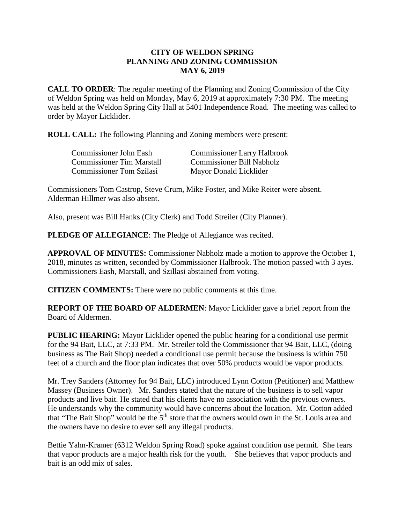## **CITY OF WELDON SPRING PLANNING AND ZONING COMMISSION MAY 6, 2019**

**CALL TO ORDER**: The regular meeting of the Planning and Zoning Commission of the City of Weldon Spring was held on Monday, May 6, 2019 at approximately 7:30 PM. The meeting was held at the Weldon Spring City Hall at 5401 Independence Road. The meeting was called to order by Mayor Licklider.

**ROLL CALL:** The following Planning and Zoning members were present:

| <b>Commissioner John Eash</b>    | <b>Commissioner Larry Halbrook</b> |
|----------------------------------|------------------------------------|
| <b>Commissioner Tim Marstall</b> | <b>Commissioner Bill Nabholz</b>   |
| <b>Commissioner Tom Szilasi</b>  | Mayor Donald Licklider             |

Commissioners Tom Castrop, Steve Crum, Mike Foster, and Mike Reiter were absent. Alderman Hillmer was also absent.

Also, present was Bill Hanks (City Clerk) and Todd Streiler (City Planner).

**PLEDGE OF ALLEGIANCE**: The Pledge of Allegiance was recited.

**APPROVAL OF MINUTES:** Commissioner Nabholz made a motion to approve the October 1, 2018, minutes as written, seconded by Commissioner Halbrook. The motion passed with 3 ayes. Commissioners Eash, Marstall, and Szillasi abstained from voting.

**CITIZEN COMMENTS:** There were no public comments at this time.

**REPORT OF THE BOARD OF ALDERMEN**: Mayor Licklider gave a brief report from the Board of Aldermen.

**PUBLIC HEARING:** Mayor Licklider opened the public hearing for a conditional use permit for the 94 Bait, LLC, at 7:33 PM. Mr. Streiler told the Commissioner that 94 Bait, LLC, (doing business as The Bait Shop) needed a conditional use permit because the business is within 750 feet of a church and the floor plan indicates that over 50% products would be vapor products.

Mr. Trey Sanders (Attorney for 94 Bait, LLC) introduced Lynn Cotton (Petitioner) and Matthew Massey (Business Owner). Mr. Sanders stated that the nature of the business is to sell vapor products and live bait. He stated that his clients have no association with the previous owners. He understands why the community would have concerns about the location. Mr. Cotton added that "The Bait Shop" would be the 5<sup>th</sup> store that the owners would own in the St. Louis area and the owners have no desire to ever sell any illegal products.

Bettie Yahn-Kramer (6312 Weldon Spring Road) spoke against condition use permit. She fears that vapor products are a major health risk for the youth. She believes that vapor products and bait is an odd mix of sales.